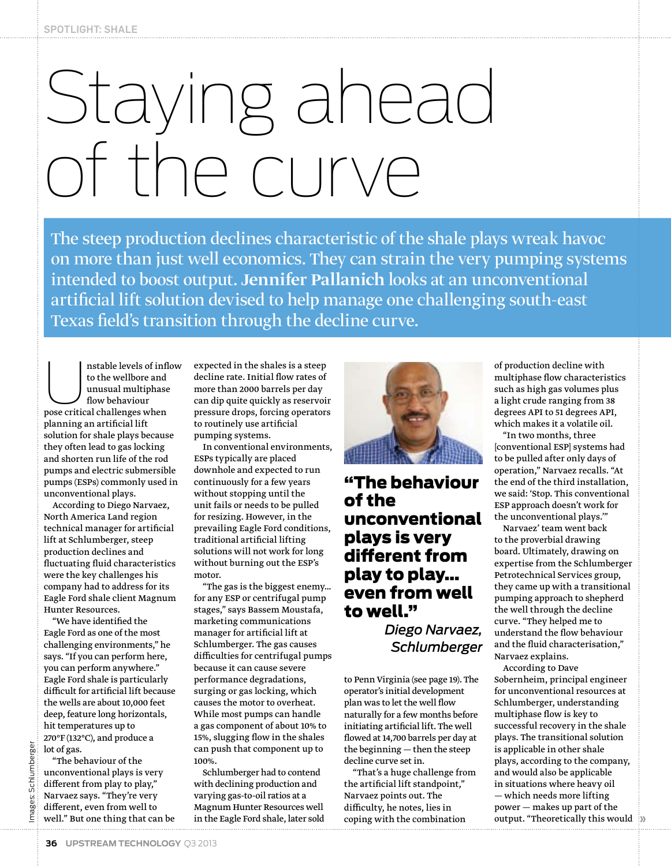## Staying ahead of the curve

The steep production declines characteristic of the shale plays wreak havoc on more than just well economics. They can strain the very pumping systems intended to boost output. Jennifer Pallanich looks at an unconventional artificial lift solution devised to help manage one challenging south-east Texas field's transition through the decline curve.

nstable levels of inflow to the wellbore and unusual multiphase flow behaviour pose critical challenges when planning an artificial lift solution for shale plays because they often lead to gas locking and shorten run life of the rod pumps and electric submersible pumps (ESPs) commonly used in unconventional plays.

According to Diego Narvaez, North America Land region technical manager for artificial lift at Schlumberger, steep production declines and fluctuating fluid characteristics were the key challenges his company had to address for its Eagle Ford shale client Magnum Hunter Resources.

"We have identified the Eagle Ford as one of the most challenging environments," he says. "If you can perform here, you can perform anywhere." Eagle Ford shale is particularly difficult for artificial lift because the wells are about 10,000 feet deep, feature long horizontals, hit temperatures up to 270°F (132°C), and produce a lot of gas.

"The behaviour of the unconventional plays is very different from play to play," Narvaez says. "They're very different, even from well to well." But one thing that can be

expected in the shales is a steep decline rate. Initial flow rates of more than 2000 barrels per day can dip quite quickly as reservoir pressure drops, forcing operators to routinely use artificial pumping systems.

In conventional environments, ESPs typically are placed downhole and expected to run continuously for a few years without stopping until the unit fails or needs to be pulled for resizing. However, in the prevailing Eagle Ford conditions, traditional artificial lifting solutions will not work for long without burning out the ESP's motor.

"The gas is the biggest enemy… for any ESP or centrifugal pump stages," says Bassem Moustafa, marketing communications manager for artificial lift at Schlumberger. The gas causes difficulties for centrifugal pumps because it can cause severe performance degradations, surging or gas locking, which causes the motor to overheat. While most pumps can handle a gas component of about 10% to 15%, slugging flow in the shales can push that component up to 100%.

Schlumberger had to contend with declining production and varying gas-to-oil ratios at a Magnum Hunter Resources well in the Eagle Ford shale, later sold



## "The behaviour of the unconventional plays is very different from play to play… even from well to well."

*Diego Narvaez, Schlumberger*

to Penn Virginia (see page 19). The operator's initial development plan was to let the well flow naturally for a few months before initiating artificial lift. The well flowed at 14,700 barrels per day at the beginning — then the steep decline curve set in.

"That's a huge challenge from the artificial lift standpoint," Narvaez points out. The difficulty, he notes, lies in coping with the combination

of production decline with multiphase flow characteristics such as high gas volumes plus a light crude ranging from 38 degrees API to 51 degrees API, which makes it a volatile oil.

"In two months, three [conventional ESP] systems had to be pulled after only days of operation," Narvaez recalls. "At the end of the third installation, we said: 'Stop. This conventional ESP approach doesn't work for the unconventional plays.'"

Narvaez' team went back to the proverbial drawing board. Ultimately, drawing on expertise from the Schlumberger Petrotechnical Services group, they came up with a transitional pumping approach to shepherd the well through the decline curve. "They helped me to understand the flow behaviour and the fluid characterisation," Narvaez explains.

According to Dave Sobernheim, principal engineer for unconventional resources at Schlumberger, understanding multiphase flow is key to successful recovery in the shale plays. The transitional solution is applicable in other shale plays, according to the company, and would also be applicable in situations where heavy oil — which needs more lifting power — makes up part of the output. "Theoretically this would **»**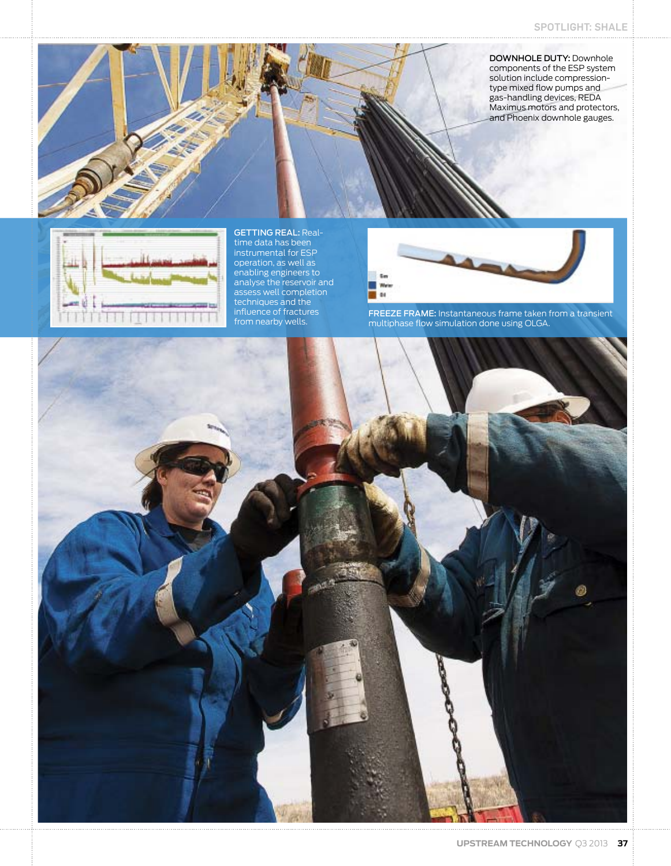DOWNHOLE DUTY: Downhole components of the ESP system solution include compressiontype mixed flow pumps and gas-handling devices, REDA Maximus motors and protectors, and Phoenix downhole gauges.



GETTING REAL: Realtime data has been instrumental for ESP operation, as well as enabling engineers to analyse the reservoir and assess well completion techniques and the influence of fractures from nearby wells.



FREEZE FRAME: Instantaneous frame taken from a transient multiphase flow simulation done using OLGA.